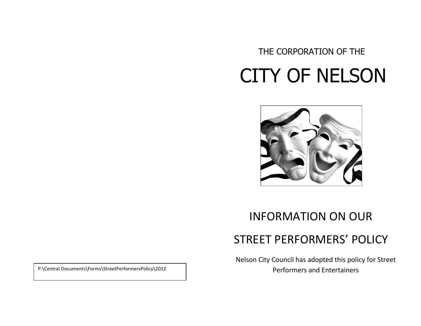# THE CORPORATION OF THE CITY OF NELSON



## INFORMATION ON OUR

## STREET PERFORMERS' POLICY

Nelson City Council has adopted this policy for Street Performers and Entertainers P:\Central Documents\Forms\StreetPerformersPolicy\2012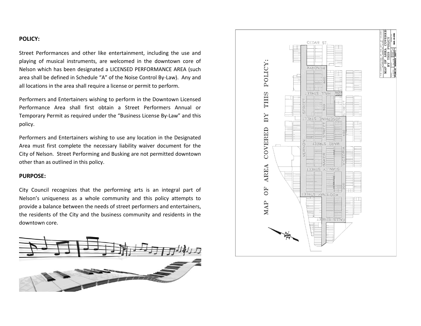### **POLICY:**

Street Performances and other like entertainment, including the use and playing of musical instruments, are welcomed in the downtown core of Nelson which has been designated a LICENSED PERFORMANCE AREA (such area shall be defined in Schedule "A" of the Noise Control By-Law). Any and all locations in the area shall require a license or permit to perform.

Performers and Entertainers wishing to perform in the Downtown Licensed Performance Area shall first obtain a Street Performers Annual or Temporary Permit as required under the "Business License By-Law" and this policy.

Performers and Entertainers wishing to use any location in the Designated Area must first complete the necessary liability waiver document for the City of Nelson. Street Performing and Busking are not permitted downtown other than as outlined in this policy.

#### **PURPOSE:**

City Council recognizes that the performing arts is an integral part of Nelson's uniqueness as a whole community and this policy attempts to provide a balance between the needs of street performers and entertainers, the residents of the City and the business community and residents in the downtown core.



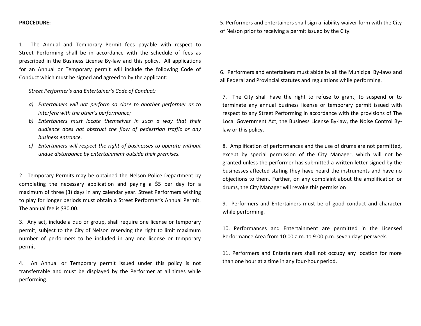#### **PROCEDURE:**

1. The Annual and Temporary Permit fees payable with respect to Street Performing shall be in accordance with the schedule of fees as prescribed in the Business License By-law and this policy. All applications for an Annual or Temporary permit will include the following Code of Conduct which must be signed and agreed to by the applicant:

*Street Performer's and Entertainer's Code of Conduct:*

- *a) Entertainers will not perform so close to another performer as to interfere with the other's performance;*
- *b) Entertainers must locate themselves in such a way that their audience does not obstruct the flow of pedestrian traffic or any business entrance.*
- *c) Entertainers will respect the right of businesses to operate without undue disturbance by entertainment outside their premises.*

2. Temporary Permits may be obtained the Nelson Police Department by completing the necessary application and paying a \$5 per day for a maximum of three (3) days in any calendar year. Street Performers wishing to play for longer periods must obtain a Street Performer's Annual Permit. The annual fee is \$30.00.

3. Any act, include a duo or group, shall require one license or temporary permit, subject to the City of Nelson reserving the right to limit maximum number of performers to be included in any one license or temporary permit.

4. An Annual or Temporary permit issued under this policy is not transferrable and must be displayed by the Performer at all times while performing.

5. Performers and entertainers shall sign a liability waiver form with the City of Nelson prior to receiving a permit issued by the City.

6. Performers and entertainers must abide by all the Municipal By-laws and all Federal and Provincial statutes and regulations while performing.

7. The City shall have the right to refuse to grant, to suspend or to terminate any annual business license or temporary permit issued with respect to any Street Performing in accordance with the provisions of The Local Government Act, the Business License By-law, the Noise Control Bylaw or this policy.

8. Amplification of performances and the use of drums are not permitted, except by special permission of the City Manager, which will not be granted unless the performer has submitted a written letter signed by the businesses affected stating they have heard the instruments and have no objections to them. Further, on any complaint about the amplification or drums, the City Manager will revoke this permission

9. Performers and Entertainers must be of good conduct and character while performing.

10. Performances and Entertainment are permitted in the Licensed Performance Area from 10:00 a.m. to 9:00 p.m. seven days per week.

11. Performers and Entertainers shall not occupy any location for more than one hour at a time in any four-hour period.